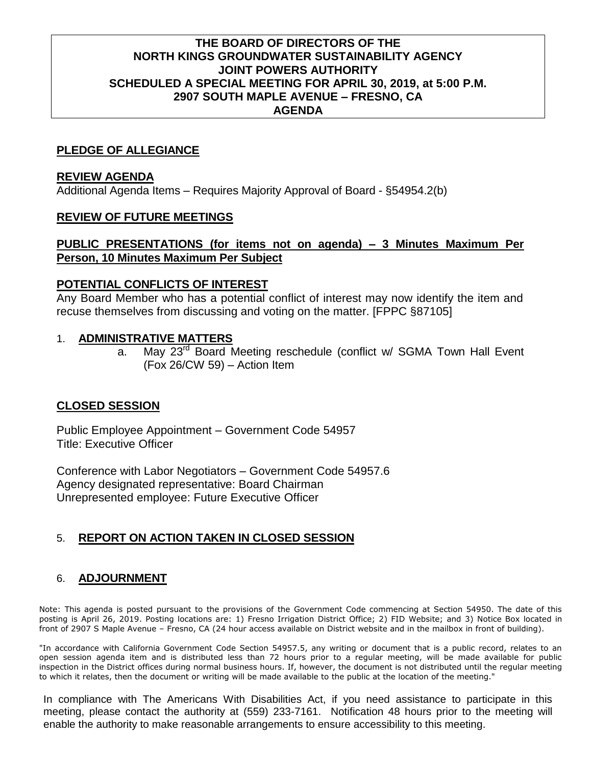## **THE BOARD OF DIRECTORS OF THE NORTH KINGS GROUNDWATER SUSTAINABILITY AGENCY JOINT POWERS AUTHORITY SCHEDULED A SPECIAL MEETING FOR APRIL 30, 2019, at 5:00 P.M. 2907 SOUTH MAPLE AVENUE – FRESNO, CA AGENDA**

## **PLEDGE OF ALLEGIANCE**

#### **REVIEW AGENDA**

Additional Agenda Items – Requires Majority Approval of Board - §54954.2(b)

## **REVIEW OF FUTURE MEETINGS**

#### **PUBLIC PRESENTATIONS (for items not on agenda) – 3 Minutes Maximum Per Person, 10 Minutes Maximum Per Subject**

#### **POTENTIAL CONFLICTS OF INTEREST**

Any Board Member who has a potential conflict of interest may now identify the item and recuse themselves from discussing and voting on the matter. [FPPC §87105]

#### 1. **ADMINISTRATIVE MATTERS**

a. May 23<sup>rd</sup> Board Meeting reschedule (conflict w/ SGMA Town Hall Event (Fox 26/CW 59) – Action Item

## **CLOSED SESSION**

Public Employee Appointment – Government Code 54957 Title: Executive Officer

Conference with Labor Negotiators – Government Code 54957.6 Agency designated representative: Board Chairman Unrepresented employee: Future Executive Officer

# 5. **REPORT ON ACTION TAKEN IN CLOSED SESSION**

# 6. **ADJOURNMENT**

Note: This agenda is posted pursuant to the provisions of the Government Code commencing at Section 54950. The date of this posting is April 26, 2019. Posting locations are: 1) Fresno Irrigation District Office; 2) FID Website; and 3) Notice Box located in front of 2907 S Maple Avenue – Fresno, CA (24 hour access available on District website and in the mailbox in front of building).

"In accordance with California Government Code Section 54957.5, any writing or document that is a public record, relates to an open session agenda item and is distributed less than 72 hours prior to a regular meeting, will be made available for public inspection in the District offices during normal business hours. If, however, the document is not distributed until the regular meeting to which it relates, then the document or writing will be made available to the public at the location of the meeting."

In compliance with The Americans With Disabilities Act, if you need assistance to participate in this meeting, please contact the authority at (559) 233-7161. Notification 48 hours prior to the meeting will enable the authority to make reasonable arrangements to ensure accessibility to this meeting.